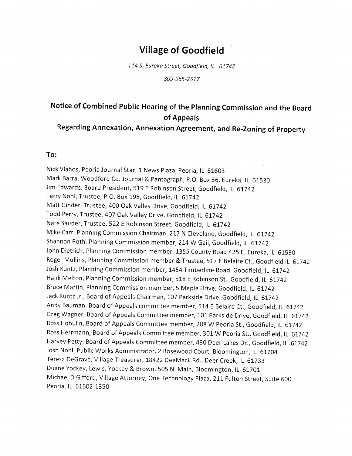## Village of Goodfield

114 S. Eureka Street, Goodfield, IL 61742

309-965-2517

### Notice of Combined Public Hearing of the Planning Commission and the Board of Appeals

# Regarding Annexation, Annexation Agreement, and Re-Zoning of property

#### To:

Nick Vlahos, Peoria Journal Star, 1 News Plaza, Peoria, IL 61603 Mark Barra, woodford co, Journal & pantagraph, p,o, Box 36, Eureka, lL <sup>61530</sup> Jim Edwards, Board President, 519 E Robinson Street, Goodfield, IL 61742 Terry Nohl, Trustee, P.O. Box 198, Goodfield, lL 61742 Matt Ginder, Trustee, 400 Oak Valley Drive, Goodfield, IL 61742 Todd Perry, Trustee, 407 Oak Valley Drive, Goodfield, IL 61742 Nate Sauder, Trustee, 522 E Robinson Street, Goodfield, IL 61742 Mike Carr, Planning Commission Chairman, 217 N Cleveland, Goodfield, IL 61742 Shannon Roth, Planning Commission member, 214 W Gail, Goodfield, IL 61742 John Dietrich, Planning Commlssion member, 1355 County Road 425 E, Eureka, lL 61530 Roger Mullins, Planning Commission member & Trustee, 5I7 E Belaire Ct., Goodfield lL <sup>61742</sup> Josh Kuntz, Planning Commission member, 1454 Timberline Road, Goodfield, IL 61742 Hank Melton, Planning Commission member, 518 E Robinson St., Goodfield, IL 61742 Bruce Martin, Planning commission member, 5 Maple Drive, Goodfield, lL 61742 Jack Kuntz Jr., Board of Appeals Chairman, 107 Parkside Drive, Goodfield, IL 61742 Andy Bauman, Board of Appeals committee member,514 E Belaire Ct., Goodfield, lL 61742 GregWagner, Board of Appeals Committee member, LOL Parkside Drive, Goodfield, lL 61742 Ross Hohulin, Board of Appeals Committee member,208 W Peoria St,, Goodfield, lL 61742 Ross Herrmann, Board of Appeals Committee member, 301 W Peoria St., Goodfield, IL 61742 Harvey Petty, Board of Appeals Committee member, 430 Deer Lakes Dr., Goodfield, IL 61742 Josh Nohl, Public Works Administrator, 2 Rosewood Court, Bloomington, IL 61704 Teresa DeGrave, Village Treasurer, 18422 DeeMack Rd., Deer Creek, IL 61733 Duane Yockey, Lewis, Yockey & Brown,505 N. Main, Bloomington, lL 61701 Michael D Gifford, Village Attorney, One Technology Plaza, 211 Fulton Street, Suite 600 Peoria, lL 61602-1350